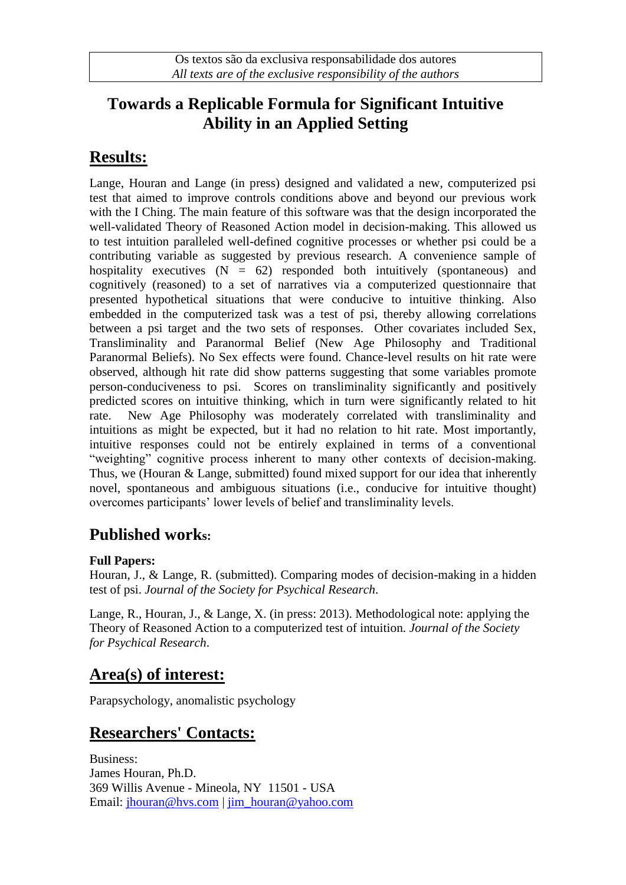## **Towards a Replicable Formula for Significant Intuitive Ability in an Applied Setting**

# **Results:**

Lange, Houran and Lange (in press) designed and validated a new, computerized psi test that aimed to improve controls conditions above and beyond our previous work with the I Ching. The main feature of this software was that the design incorporated the well-validated Theory of Reasoned Action model in decision-making. This allowed us to test intuition paralleled well-defined cognitive processes or whether psi could be a contributing variable as suggested by previous research. A convenience sample of hospitality executives  $(N = 62)$  responded both intuitively (spontaneous) and cognitively (reasoned) to a set of narratives via a computerized questionnaire that presented hypothetical situations that were conducive to intuitive thinking. Also embedded in the computerized task was a test of psi, thereby allowing correlations between a psi target and the two sets of responses. Other covariates included Sex, Transliminality and Paranormal Belief (New Age Philosophy and Traditional Paranormal Beliefs). No Sex effects were found. Chance-level results on hit rate were observed, although hit rate did show patterns suggesting that some variables promote person-conduciveness to psi. Scores on transliminality significantly and positively predicted scores on intuitive thinking, which in turn were significantly related to hit rate. New Age Philosophy was moderately correlated with transliminality and intuitions as might be expected, but it had no relation to hit rate. Most importantly, intuitive responses could not be entirely explained in terms of a conventional "weighting" cognitive process inherent to many other contexts of decision-making. Thus, we (Houran & Lange, submitted) found mixed support for our idea that inherently novel, spontaneous and ambiguous situations (i.e., conducive for intuitive thought) overcomes participants' lower levels of belief and transliminality levels.

### **Published works:**

#### **Full Papers:**

Houran, J., & Lange, R. (submitted). Comparing modes of decision-making in a hidden test of psi. *Journal of the Society for Psychical Research*.

Lange, R., Houran, J., & Lange, X. (in press: 2013). Methodological note: applying the Theory of Reasoned Action to a computerized test of intuition. *Journal of the Society for Psychical Research*.

### **Area(s) of interest:**

Parapsychology, anomalistic psychology

# **Researchers' Contacts:**

Business: James Houran, Ph.D. 369 Willis Avenue - Mineola, NY 11501 - USA Email: [jhouran@hvs.com](mailto:jhouran@hvs.com) | [jim\\_houran@yahoo.com](mailto:jim_houran@yahoo.com)